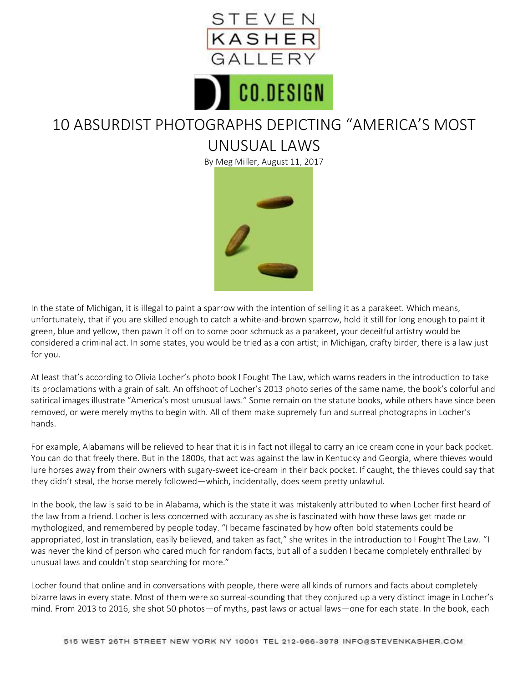

## 10 ABSURDIST PHOTOGRAPHS DEPICTING "AMERICA'S MOST UNUSUAL LAWS

By Meg Miller, August 11, 2017



In the state of Michigan, it is illegal to paint a sparrow with the intention of selling it as a parakeet. Which means, unfortunately, that if you are skilled enough to catch a white-and-brown sparrow, hold it still for long enough to paint it green, blue and yellow, then pawn it off on to some poor schmuck as a parakeet, your deceitful artistry would be considered a criminal act. In some states, you would be tried as a con artist; in Michigan, crafty birder, there is a law just for you.

At least that's according to Olivia Locher's photo book I Fought The Law, which warns readers in the introduction to take its proclamations with a grain of salt. An offshoot of Locher's 2013 photo series of the same name, the book's colorful and satirical images illustrate "America's most unusual laws." Some remain on the statute books, while others have since been removed, or were merely myths to begin with. All of them make supremely fun and surreal photographs in Locher's hands.

For example, Alabamans will be relieved to hear that it is in fact not illegal to carry an ice cream cone in your back pocket. You can do that freely there. But in the 1800s, that act was against the law in Kentucky and Georgia, where thieves would lure horses away from their owners with sugary-sweet ice-cream in their back pocket. If caught, the thieves could say that they didn't steal, the horse merely followed—which, incidentally, does seem pretty unlawful.

In the book, the law is said to be in Alabama, which is the state it was mistakenly attributed to when Locher first heard of the law from a friend. Locher is less concerned with accuracy as she is fascinated with how these laws get made or mythologized, and remembered by people today. "I became fascinated by how often bold statements could be appropriated, lost in translation, easily believed, and taken as fact," she writes in the introduction to I Fought The Law. "I was never the kind of person who cared much for random facts, but all of a sudden I became completely enthralled by unusual laws and couldn't stop searching for more."

Locher found that online and in conversations with people, there were all kinds of rumors and facts about completely bizarre laws in every state. Most of them were so surreal-sounding that they conjured up a very distinct image in Locher's mind. From 2013 to 2016, she shot 50 photos—of myths, past laws or actual laws—one for each state. In the book, each